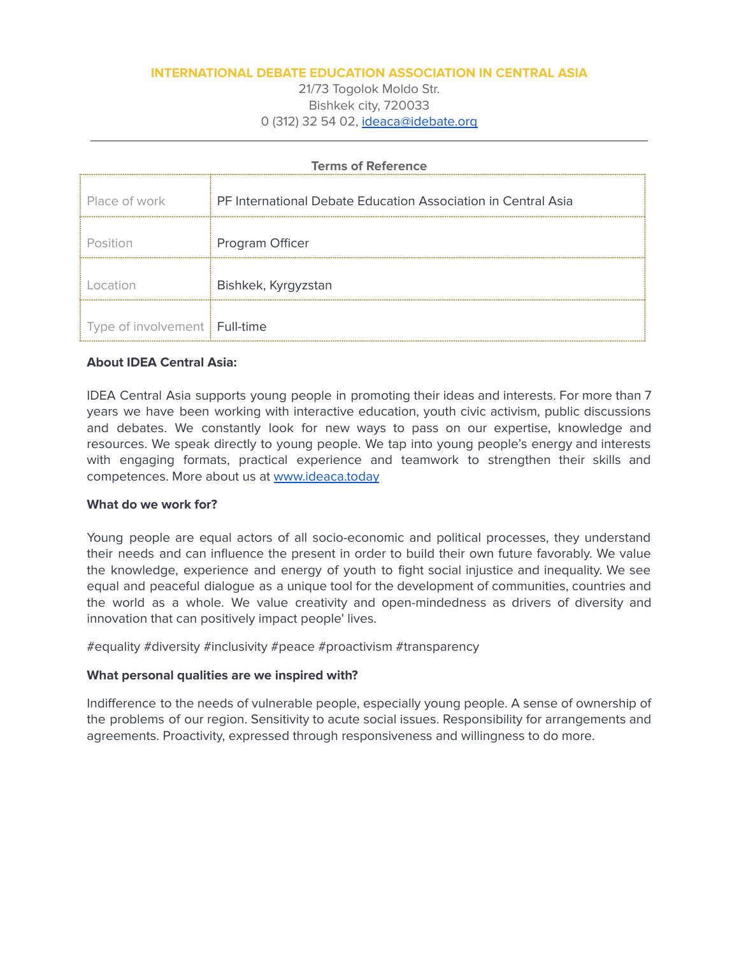## **INTERNATIONAL DEBATE EDUCATION ASSOCIATION IN CENTRAL ASIA**

21/73 Togolok Moldo Str. Bishkek city, 720033 0 (312) 32 54 02, [ideaca@idebate.org](mailto:ideaca@idebate.org)

| <b>Terms of Reference</b>       |                                                               |
|---------------------------------|---------------------------------------------------------------|
| Place of work                   | PF International Debate Education Association in Central Asia |
| Position                        | Program Officer                                               |
| l ocation                       | Bishkek, Kyrgyzstan                                           |
| Type of involvement   Full-time |                                                               |

## **About IDEA Central Asia:**

IDEA Central Asia supports young people in promoting their ideas and interests. For more than 7 years we have been working with interactive education, youth civic activism, public discussions and debates. We constantly look for new ways to pass on our expertise, knowledge and resources. We speak directly to young people. We tap into young people's energy and interests with engaging formats, practical experience and teamwork to strengthen their skills and competences. More about us at [www.ideaca.today](http://www.ideaca.today)

## **What do we work for?**

Young people are equal actors of all socio-economic and political processes, they understand their needs and can influence the present in order to build their own future favorably. We value the knowledge, experience and energy of youth to fight social injustice and inequality. We see equal and peaceful dialogue as a unique tool for the development of communities, countries and the world as a whole. We value creativity and open-mindedness as drivers of diversity and innovation that can positively impact people' lives.

#equality #diversity #inclusivity #peace #proactivism #transparency

## **What personal qualities are we inspired with?**

Indifference to the needs of vulnerable people, especially young people. A sense of ownership of the problems of our region. Sensitivity to acute social issues. Responsibility for arrangements and agreements. Proactivity, expressed through responsiveness and willingness to do more.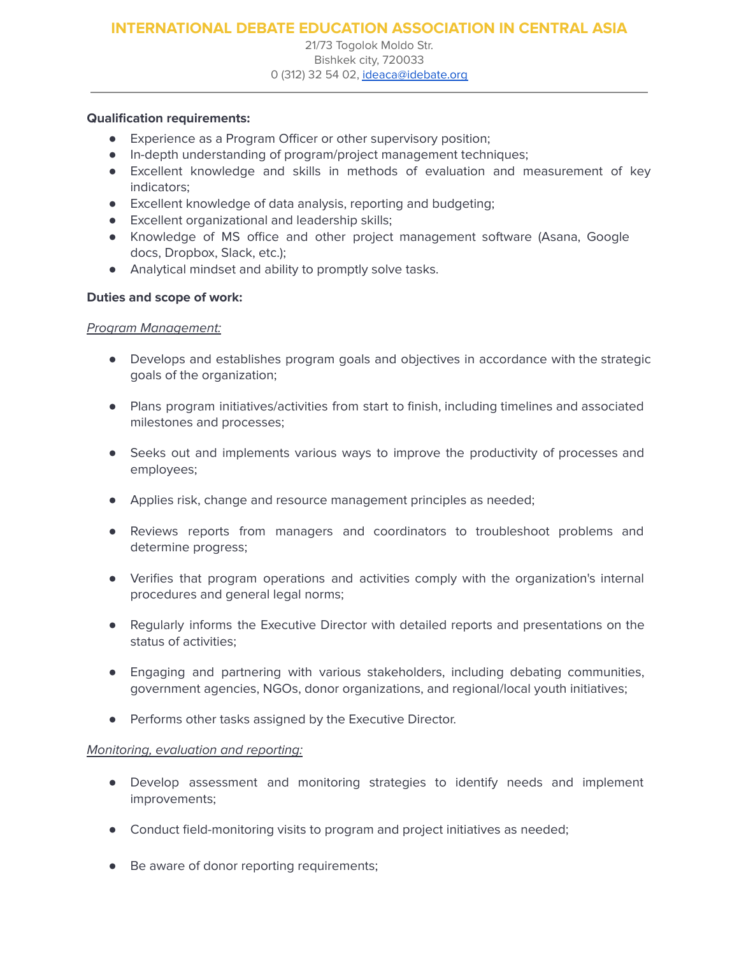21/73 Togolok Moldo Str. Bishkek city, 720033 0 (312) 32 54 02, [ideaca@idebate.org](mailto:ideaca@idebate.org)

## **Qualification requirements:**

- **●** Experience as a Program Officer or other supervisory position;
- **●** In-depth understanding of program/project management techniques;
- **●** Excellent knowledge and skills in methods of evaluation and measurement of key indicators;
- **●** Excellent knowledge of data analysis, reporting and budgeting;
- **●** Excellent organizational and leadership skills;
- **●** Knowledge of MS office and other project management software (Asana, Google docs, Dropbox, Slack, etc.);
- Analytical mindset and ability to promptly solve tasks.

### **Duties and scope of work:**

### Program Management:

- Develops and establishes program goals and objectives in accordance with the strategic goals of the organization;
- Plans program initiatives/activities from start to finish, including timelines and associated milestones and processes;
- Seeks out and implements various ways to improve the productivity of processes and employees;
- Applies risk, change and resource management principles as needed;
- Reviews reports from managers and coordinators to troubleshoot problems and determine progress;
- Verifies that program operations and activities comply with the organization's internal procedures and general legal norms;
- Regularly informs the Executive Director with detailed reports and presentations on the status of activities;
- Engaging and partnering with various stakeholders, including debating communities, government agencies, NGOs, donor organizations, and regional/local youth initiatives;
- Performs other tasks assigned by the Executive Director.

#### Monitoring, evaluation and reporting:

- Develop assessment and monitoring strategies to identify needs and implement improvements;
- Conduct field-monitoring visits to program and project initiatives as needed;
- Be aware of donor reporting requirements;